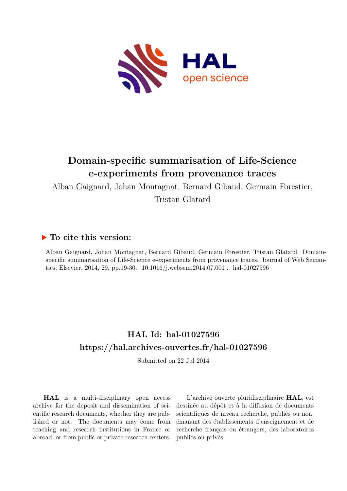

# **Domain-specific summarisation of Life-Science e-experiments from provenance traces**

Alban Gaignard, Johan Montagnat, Bernard Gibaud, Germain Forestier,

Tristan Glatard

# **To cite this version:**

Alban Gaignard, Johan Montagnat, Bernard Gibaud, Germain Forestier, Tristan Glatard. Domainspecific summarisation of Life-Science e-experiments from provenance traces. Journal of Web Semantics, Elsevier, 2014, 29, pp.19-30.  $10.1016/j$ .websem.2014.07.001  $\ldots$  hal-01027596

# **HAL Id: hal-01027596 <https://hal.archives-ouvertes.fr/hal-01027596>**

Submitted on 22 Jul 2014

**HAL** is a multi-disciplinary open access archive for the deposit and dissemination of scientific research documents, whether they are published or not. The documents may come from teaching and research institutions in France or abroad, or from public or private research centers.

L'archive ouverte pluridisciplinaire **HAL**, est destinée au dépôt et à la diffusion de documents scientifiques de niveau recherche, publiés ou non, émanant des établissements d'enseignement et de recherche français ou étrangers, des laboratoires publics ou privés.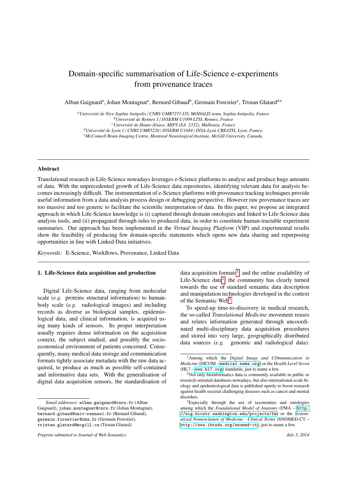# Domain-specific summarisation of Life-Science e-experiments from provenance traces

Alban Gaignard<sup>a</sup>, Johan Montagnat<sup>a</sup>, Bernard Gibaud<sup>b</sup>, Germain Forestier<sup>c</sup>, Tristan Glatard<sup>d,e</sup>

*<sup>a</sup>Universit´e de Nice Sophia Antipolis* / *CNRS UMR7271 I3S, MODALIS team, Sophia Antipolis, France <sup>b</sup>Universit´e de Rennes 1* / *INSERM U1099 LTSI, Rennes, France <sup>c</sup>Universit´e de Haute-Alsace, MIPS (EA 2332), Mulhouse, France <sup>d</sup>Universit´e de Lyon 1* / *CNRS UMR5220* / *INSERM U1044* / *INSA-Lyon CREATIS, Lyon, France. <sup>e</sup>McConnell Brain Imaging Centre, Montreal Neurological Institute, McGill University, Canada.*

# Abstract

Translational research in Life-Science nowadays leverages e-Science platforms to analyse and produce huge amounts of data. With the unprecedented growth of Life-Science data repositories, identifying relevant data for analysis becomes increasingly difficult. The instrumentation of e-Science platforms with provenance tracking techniques provide useful information from a data analysis process design or debugging perspective. However raw provenance traces are too massive and too generic to facilitate the scientific interpretation of data. In this paper, we propose an integrated approach in which Life-Science knowledge is (i) captured through domain ontologies and linked to Life-Science data analysis tools, and (ii) propagated through rules to produced data, in order to constitute human-tractable experiment summaries. Our approach has been implemented in the *Virtual Imaging Platform* (VIP) and experimental results show the feasibility of producing few domain-specific statements which opens new data sharing and repurposing opportunities in line with Linked Data initiatives.

*Keywords:* E-Science, Workflows, Provenance, Linked Data

### 1. Life-Science data acquisition and production

Digital Life-Science data, ranging from molecular scale (*e.g.* proteins structural information) to humanbody scale (*e.g.* radiological images) and including records as diverse as biological samples, epidemiological data, and clinical information, is acquired using many kinds of sensors. Its proper interpretation usually requires dense information on the acquisition context, the subject studied, and possibly the socioeconomical environment of patients concerned. Consequently, many medical data storage and communication formats tightly associate metadata with the raw data acquired, to produce as much as possible self-contained and informative data sets. With the generalisation of digital data acquisition sensors, the standardisation of data acquisition formats<sup>[1](#page-1-0)</sup>, and the online availability of Life-Science data<sup>[2](#page-1-1)</sup>, the community has clearly turned towards the use of standard semantic data description and manipulation technologies developed in the context of the Semantic Web<sup>[3](#page-1-2)</sup>.

To speed-up time-to-discovery in medical research, the so-called *Translational Medicine* movement reuses and relates information generated through uncoordinated multi-disciplinary data acquisition procedures and stored into very large, geographically distributed data sources (*e.g.* genomic and radiological data).

*Email addresses:* alban.gaignard@cnrs.fr (Alban Gaignard), johan.montagnat@cnrs.fr (Johan Montagnat), bernard.gibaud@univ-rennes1.fr (Bernard Gibaud), germain.forestier@uha.fr (Germain Forestier), tristan.glatard@mcgill.ca (Tristan Glatard)

*Preprint submitted to Journal of Web Semantics July 3, 2014*

<span id="page-1-0"></span><sup>1</sup>Among which the *Digital Image and COmmunication in Medicine* (DICOM – <medical.nema.org>) or the *Health Level Seven*  $(HL7 - www.h17.org) standards, just to name a few.$ 

<span id="page-1-1"></span><sup>&</sup>lt;sup>2</sup>Not only bioinformatics data is commonly available in public or research-oriented databases nowadays, but also international-scale biology and epidemiological data is published openly to boost research against health societal challenging diseases such as cancer and mental disorders.

<span id="page-1-2"></span> $3E$ Specially through the use of taxonomies and ontologies among which the *Foundational Model of Anatomy* (FMA – [http:](http://sig.biostr.washington.edu/projects/fm) [//sig.biostr.washington.edu/projects/fm](http://sig.biostr.washington.edu/projects/fm)) or the *Systematized Nomenclature of Medicine - Clinical Terms* (SNOMED-CT – <http://www.ihtsdo.org/snomed-ct>), just to name a few.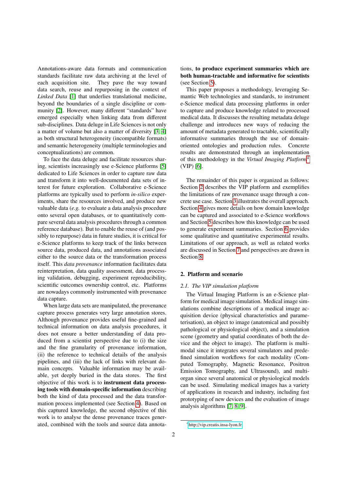Annotations-aware data formats and communication standards facilitate raw data archiving at the level of each acquisition site. They pave the way toward data search, reuse and repurposing in the context of *Linked Data* [\[1\]](#page-16-0) that underlies translational medicine, beyond the boundaries of a single discipline or community [\[2\]](#page-16-1). However, many different "standards" have emerged especially when linking data from different sub-disciplines. Data deluge in Life Sciences is not only a matter of volume but also a matter of diversity [\[3,](#page-16-2) [4\]](#page-16-3) as both structural heterogeneity (incompatible formats) and semantic heterogeneity (multiple terminologies and conceptualizations) are common.

To face the data deluge and facilitate resources sharing, scientists increasingly use e-Science platforms [\[5\]](#page-16-4) dedicated to Life Sciences in order to capture raw data and transform it into well-documented data sets of interest for future exploration. Collaborative e-Science platforms are typically used to perform *in-silico* experiments, share the resources involved, and produce new valuable data (*e.g.* to evaluate a data analysis procedure onto several open databases, or to quantitatively compare several data analysis procedures through a common reference database). But to enable the reuse of (and possibly to repurpose) data in future studies, it is critical for e-Science platforms to keep track of the links between source data, produced data, and annotations associated either to the source data or the transformation process itself. This *data provenance* information facilitates data reinterpretation, data quality assessment, data processing validation, debugging, experiment reproducibility, scientific outcomes ownership control, etc. Platforms are nowadays commonly instrumented with provenance data capture.

When large data sets are manipulated, the provenance capture process generates very large annotation stores. Although provenance provides useful fine-grained and technical information on data analysis procedures, it does not ensure a better understanding of data produced from a scientist perspective due to (i) the size and the fine granularity of provenance information, (ii) the reference to technical details of the analysis pipelines, and (iii) the lack of links with relevant domain concepts. Valuable information may be available, yet deeply buried in the data stores. The first objective of this work is to instrument data processing tools with domain-specific information describing both the kind of data processed and the data transformation process implemented (see Section [4\)](#page-6-0). Based on this captured knowledge, the second objective of this work is to analyse the dense provenance traces generated, combined with the tools and source data annotations, to produce experiment summaries which are both human-tractable and informative for scientists (see Section [5\)](#page-7-0).

This paper proposes a methodology, leveraging Semantic Web technologies and standards, to instrument e-Science medical data processing platforms in order to capture and produce knowledge related to processed medical data. It discusses the resulting metadata deluge challenge and introduces new ways of reducing the amount of metadata generated to tractable, scientifically informative summaries through the use of domainoriented ontologies and production rules. Concrete results are demonstrated through an implementation of this methodology in the *Virtual Imaging Platform*[4](#page-2-0) (VIP) [\[6\]](#page-16-5).

The remainder of this paper is organized as follows: Section [2](#page-2-1) describes the VIP platform and exemplifies the limitations of raw provenance usage through a concrete use case. Section [3](#page-5-0) illustrates the overall approach. Section [4](#page-6-0) gives more details on how domain knowledge can be captured and associated to e-Science workflows and Section [5](#page-7-0) describes how this knowledge can be used to generate experiment summaries. Section [6](#page-10-0) provides some qualitative and quantitative experimental results. Limitations of our approach, as well as related works are discussed in Section [7](#page-13-0) and perspectives are drawn in Section [8.](#page-15-0)

## <span id="page-2-1"></span>2. Platform and scenario

# *2.1. The VIP simulation platform*

The Virtual Imaging Platform is an e-Science platform for medical image simulation. Medical image simulations combine descriptions of a medical image acquisition device (physical characteristics and parameterisation), an object to image (anatomical and possibly pathological or physiological object), and a simulation scene (geometry and spatial coordinates of both the device and the object to image). The platform is multimodal since it integrates several simulators and predefined simulation workflows for each modality (Computed Tomography, Magnetic Resonance, Positron Emission Tomography, and Ultrasound), and multiorgan since several anatomical or physiological models can be used. Simulating medical images has a variety of applications in research and industry, including fast prototyping of new devices and the evaluation of image analysis algorithms [\[7,](#page-16-6) [8,](#page-16-7) [9\]](#page-16-8).

<span id="page-2-0"></span><sup>4</sup>http://[vip.creatis.insa-lyon.fr](http://vip.creatis.insa-lyon.fr)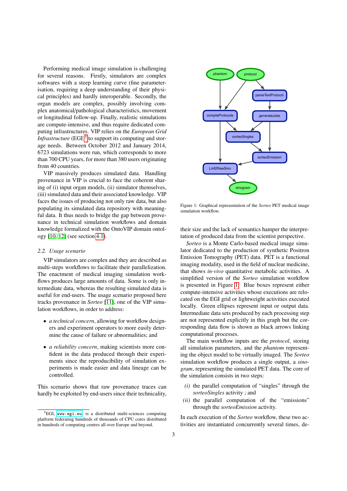Performing medical image simulation is challenging for several reasons. Firstly, simulators are complex softwares with a steep learning curve (fine parameterisation, requiring a deep understanding of their physical principles) and hardly interoperable. Secondly, the organ models are complex, possibly involving complex anatomical/pathological characteristics, movement or longitudinal follow-up. Finally, realistic simulations are compute-intensive, and thus require dedicated computing infrastructures. VIP relies on the *European Grid Infrastructure* (EGI)<sup>[5](#page-3-0)</sup> to support its computing and storage needs. Between October 2012 and January 2014, 6723 simulations were run, which corresponds to more than 700 CPU years, for more than 380 users originating from 40 countries.

VIP massively produces simulated data. Handling provenance in VIP is crucial to face the coherent sharing of (i) input organ models, (ii) simulator themselves, (iii) simulated data and their associated knowledge. VIP faces the issues of producing not only raw data, but also populating its simulated data repository with meaningful data. It thus needs to bridge the gap between provenance in technical simulation workflows and domain knowledge formalized with the OntoVIP domain ontology [\[10,](#page-16-9) [12\]](#page-16-10) (see section [4.1\)](#page-6-1).

#### *2.2. Usage scenario*

VIP simulators are complex and they are described as multi-steps workflows to facilitate their parallelization. The enactment of medical imaging simulation workflows produces large amounts of data. Some is only intermediate data, whereas the resulting simulated data is useful for end-users. The usage scenario proposed here tracks provenance in *Sorteo* [\[11\]](#page-16-11), one of the VIP simulation workflows, in order to address:

- *a technical concern*, allowing for workflow designers and experiment operators to more easily determine the cause of failure or abnormalities; and
- *a reliability concern*, making scientists more confident in the data produced through their experiments since the reproducibility of simulation experiments is made easier and data lineage can be controlled.

This scenario shows that raw provenance traces can hardly be exploited by end-users since their technicality,

<span id="page-3-1"></span>

Figure 1: Graphical representation of the *Sorteo* PET medical image simulation workflow.

their size and the lack of semantics hamper the interpretation of produced data from the scientist perspective.

*Sorteo* is a Monte Carlo-based medical image simulator dedicated to the production of synthetic Positron Emission Tomography (PET) data. PET is a functional imaging modality, used in the field of nuclear medicine, that shows *in-vivo* quantitative metabolic activities. A simplified version of the *Sorteo* simulation workflow is presented in Figure [1.](#page-3-1) Blue boxes represent either compute-intensive activities whose executions are relocated on the EGI grid or lightweight activities executed locally. Green ellipses represent input or output data. Intermediate data sets produced by each processing step are not represented explicitly in this graph but the corresponding data flow is shown as black arrows linking computational processes.

The main workflow inputs are the *protocol*, storing all simulation parameters, and the *phantom* representing the object model to be virtually imaged. The *Sorteo* simulation workflow produces a single output, a *sinogram*, representing the simulated PET data. The core of the simulation consists in two steps:

- *(i)* the parallel computation of "singles" through the *sorteoSingles* activity ; and
- *(ii)* the parallel computation of the "emissions" through the *sorteoEmission* activity.

In each execution of the *Sorteo* workflow, these two activities are instantiated concurrently several times, de-

<span id="page-3-0"></span><sup>5</sup>EGI, <www.egi.eu>, is a distributed multi-sciences computing platform federating hundreds of thousands of CPU cores distributed in hundreds of computing centres all over Europe and beyond.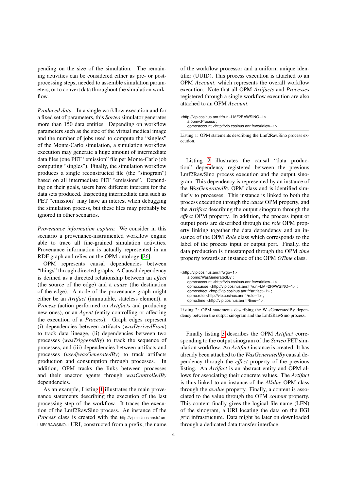pending on the size of the simulation. The remaining activities can be considered either as pre- or postprocessing steps, needed to assemble simulation parameters, or to convert data throughout the simulation workflow.

*Produced data.* In a single workflow execution and for a fixed set of parameters, this *Sorteo* simulator generates more than 150 data entities. Depending on workflow parameters such as the size of the virtual medical image and the number of jobs used to compute the "singles" of the Monte-Carlo simulation, a simulation workflow execution may generate a huge amount of intermediate data files (one PET "emission" file per Monte-Carlo job computing "singles"). Finally, the simulation workflow produces a single reconstructed file (the "sinogram") based on all intermediate PET "emissions". Depending on their goals, users have different interests for the data sets produced. Inspecting intermediate data such as PET "emission" may have an interest when debugging the simulation process, but these files may probably be ignored in other scenarios.

*Provenance information capture.* We consider in this scenario a provenance-instrumented workflow engine able to trace all fine-grained simulation activities. Provenance information is actually represented in an RDF graph and relies on the OPM ontology [\[26\]](#page-17-0).

OPM represents causal dependencies between "things" through directed graphs. A Causal dependency is defined as a directed relationship between an *e*ff*ect* (the source of the edge) and a *cause* (the destination of the edge). A node of the provenance graph might either be an *Artifact* (immutable, stateless element), a *Process* (action performed on *Artifacts* and producing new ones), or an *Agent* (entity controlling or affecting the execution of a *Process*). Graph edges represent (i) dependencies between artifacts (*wasDerivedFrom*) to track data lineage, (ii) dependencies between two processes (*wasTriggeredBy*) to track the sequence of processes, and (iii) dependencies between artifacts and processes (*used*/*wasGeneratedBy*) to track artifacts production and consumption through processes. In addition, OPM tracks the links between processes and their enactor agents through *wasControlledBy* dependencies.

As an example, Listing [1](#page-4-0) illustrates the main provenance statements describing the execution of the last processing step of the workflow. It traces the execution of the Lmf2RawSino process. An instance of the *Process* class is created with the http://vip.cosinus.anr.fr/run-LMF2RAWSINO-1 URI, constructed from a prefix, the name of the workflow processor and a uniform unique identifier (UUID). This process execution is attached to an OPM *Account*, which represents the overall workflow execution. Note that all OPM *Artifacts* and *Processes* registered through a single workflow execution are also attached to an OPM *Account*.

<span id="page-4-0"></span>

| <http: run-lmf2rawsino-1="" vip.cosinus.anr.fr=""></http:>        |  |
|-------------------------------------------------------------------|--|
| a opmv:Process ;                                                  |  |
| opmo:account <http: vip.cosinus.anr.fr="" workflow-1="">.</http:> |  |

Listing 1: OPM statements describing the Lmf2RawSino process execution.

Listing [2](#page-4-1) illustrates the causal "data production" dependency registered between the previous Lmf2RawSino process execution and the output sinogram. This dependency is represented by an instance of the *WasGeneratedBy* OPM class and is identified similarly to processes. This instance is linked to both the process execution through the *cause* OPM property, and the *Artifact* describing the output sinogram through the *e*ff*ect* OPM property. In addition, the process input or output ports are described through the *role* OPM property linking together the data dependency and an instance of the OPM *Role* class which corresponds to the label of the process input or output port. Finally, the data production is timestamped through the OPM *time* property towards an instance of the OPM *OTime* class.

<span id="page-4-1"></span>

| <http: vip.cosinus.anr.fr="" wgb-1=""></http:>                          |  |
|-------------------------------------------------------------------------|--|
| a opmo: WasGeneratedBv :                                                |  |
| opmo:account <http: vip.cosinus.anr.fr="" workflow-1="">:</http:>       |  |
| opmo:cause <http: run-lmf2rawsino-1="" vip.cosinus.anr.fr=""> ;</http:> |  |
| opmo:effect <http: artifact-1="" vip.cosinus.anr.fr=""> ;</http:>       |  |
| opmo:role <http: role-1="" vip.cosinus.anr.fr=""> ;</http:>             |  |
| opmo:time <http: time-1="" vip.cosinus.anr.fr="">.</http:>              |  |

Listing 2: OPM statements describing the WasGeneratedBy dependency between the output sinogram and the Lmf2RawSino process.

Finally listing [3](#page-5-1) describes the OPM *Artifact* corresponding to the output sinogram of the *Sorteo* PET simulation workflow. An *Artifact* instance is created. It has already been attached to the *WasGeneratedBy* causal dependency through the *e*ff*ect* property of the previous listing. An *Artifact* is an abstract entity and OPM allows for associating their concrete values. The *Artifact* is thus linked to an instance of the *AValue* OPM class through the *avalue* property. Finally, a content is associated to the value through the OPM *content* property. This content finally gives the logical file name (LFN) of the sinogram, a URI locating the data on the EGI grid infrastructure. Data might be later on downloaded through a dedicated data transfer interface.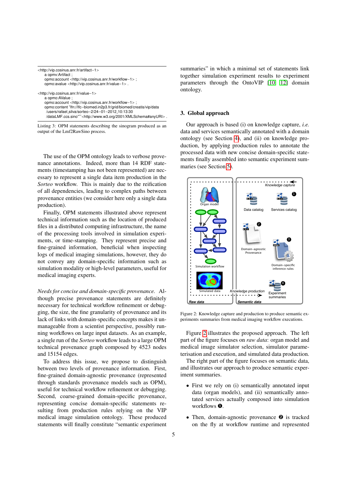<span id="page-5-1"></span>

| <http: artifact-1="" vip.cosinus.anr.fr=""></http:>                            |
|--------------------------------------------------------------------------------|
| a opmv:Artifact ;                                                              |
| opmo:account <http: vip.cosinus.anr.fr="" workflow-1="">;</http:>              |
| opmo:avalue <http: value-1="" vip.cosinus.anr.fr="">.</http:>                  |
| <http: value-1="" vip.cosinus.anr.fr=""></http:>                               |
| a opmo:AValue ;                                                                |
| opmo:account <http: vip.cosinus.anr.fr="" workflow-1=""> ;</http:>             |
| opmo:content "Ifn://lfc-biomed.in2p3.fr/grid/biomed/creatis/vip/data           |
| /users/rafael_silva/sorteo-2/24-01-2012_10:13:30                               |
| /dataLMF.ccs.sino"^ <http: 2001="" www.w3.org="" xmlschema#anyuri="">.</http:> |
| Listing 2. ODM statements describing the sincerem produced as an               |

Listing 3: OPM statements describing the sinogram produced as an output of the Lmf2RawSino process.

The use of the OPM ontology leads to verbose provenance annotations. Indeed, more than 14 RDF statements (timestamping has not been represented) are necessary to represent a single data item production in the *Sorteo* workflow. This is mainly due to the reification of all dependencies, leading to complex paths between provenance entities (we consider here only a single data production).

Finally, OPM statements illustrated above represent technical information such as the location of produced files in a distributed computing infrastructure, the name of the processing tools involved in simulation experiments, or time-stamping. They represent precise and fine-grained information, beneficial when inspecting logs of medical imaging simulations, however, they do not convey any domain-specific information such as simulation modality or high-level parameters, useful for medical imaging experts.

*Needs for concise and domain-specific provenance.* Although precise provenance statements are definitely necessary for technical workflow refinement or debugging, the size, the fine granularity of provenance and its lack of links with domain-specific concepts makes it unmanageable from a scientist perspective, possibly running workflows on large input datasets. As an example, a single run of the *Sorteo* workflow leads to a large OPM technical provenance graph composed by 4523 nodes and 15154 edges.

To address this issue, we propose to distinguish between two levels of provenance information. First, fine-grained domain-agnostic provenance (represented through standards provenance models such as OPM), useful for technical workflow refinement or debugging. Second, coarse-grained domain-specific provenance, representing concise domain-specific statements resulting from production rules relying on the VIP medical image simulation ontology. These produced statements will finally constitute "semantic experiment summaries" in which a minimal set of statements link together simulation experiment results to experiment parameters through the OntoVIP [\[10,](#page-16-9) [12\]](#page-16-10) domain ontology.

# <span id="page-5-0"></span>3. Global approach

Our approach is based (i) on knowledge capture, *i.e.* data and services semantically annotated with a domain ontology (see Section [4\)](#page-6-0), and (ii) on knowledge production, by applying production rules to annotate the processed data with new concise domain-specific statements finally assembled into semantic experiment summaries (see Section [5\)](#page-7-0).

<span id="page-5-2"></span>

Figure 2: Knowledge capture and production to produce semantic experiments summaries from medical imaging workflow executions.

Figure [2](#page-5-2) illustrates the proposed approach. The left part of the figure focuses on *raw data*: organ model and medical image simulator selection, simulator parameterisation and execution, and simulated data production.

The right part of the figure focuses on semantic data, and illustrates our approach to produce semantic experiment summaries.

- First we rely on (i) semantically annotated input data (organ models), and (ii) semantically annotated services actually composed into simulation workflows  $\mathbf{0}$ .
- Then, domain-agnostic provenance  $\bullet$  is tracked on the fly at workflow runtime and represented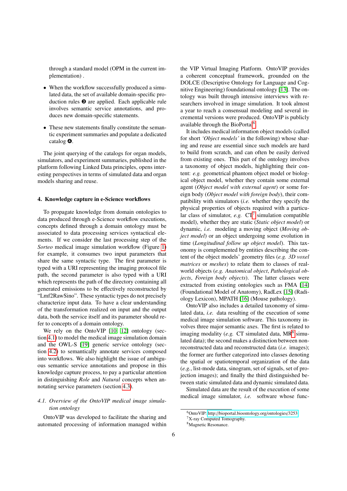through a standard model (OPM in the current implementation) .

- When the workflow successfully produced a simulated data, the set of available domain-specific production rules ➌ are applied. Each applicable rule involves semantic service annotations, and produces new domain-specific statements.
- These new statements finally constitute the semantic experiment summaries and populate a dedicated catalog ➍.

The joint querying of the catalogs for organ models, simulators, and experiment summaries, published in the platform following Linked Data principles, opens interesting perspectives in terms of simulated data and organ models sharing and reuse.

#### <span id="page-6-0"></span>4. Knowledge capture in e-Science workflows

To propagate knowledge from domain ontologies to data produced through e-Science workflow executions, concepts defined through a domain ontology must be associated to data processing services syntactical elements. If we consider the last processing step of the *Sorteo* medical image simulation workflow (Figure [1\)](#page-3-1) for example, it consumes two input parameters that share the same syntactic type. The first parameter is typed with a URI representing the imaging protocol file path, the second parameter is also typed with a URI which represents the path of the directory containing all generated emissions to be effectively reconstructed by "Lmf2RawSino". These syntactic types do not precisely characterize input data. To have a clear understanding of the transformation realized on input and the output data, both the service itself and its parameter should refer to concepts of a domain ontology.

We rely on the OntoVIP [\[10,](#page-16-9) [12\]](#page-16-10) ontology (section [4.1\)](#page-6-1) to model the medical image simulation domain and the OWL-S [\[19\]](#page-17-1) generic service ontology (section [4.2\)](#page-7-1) to semantically annotate services composed into workflows. We also highlight the issue of ambiguous semantic service annotations and propose in this knowledge capture process, to pay a particular attention in distinguishing *Role* and *Natural* concepts when annotating service parameters (section [4.3\)](#page-7-2).

# <span id="page-6-1"></span>*4.1. Overview of the OntoVIP medical image simulation ontology*

OntoVIP was developed to facilitate the sharing and automated processing of information managed within

the VIP Virtual Imaging Platform. OntoVIP provides a coherent conceptual framework, grounded on the DOLCE (Descriptive Ontology for Language and Cognitive Engineering) foundational ontology [\[13\]](#page-16-12). The ontology was built through intensive interviews with researchers involved in image simulation. It took almost a year to reach a consensual modeling and several incremental versions were produced. OntoVIP is publicly available through the BioPortal<sup>[6](#page-6-2)</sup>.

It includes medical information object models (called for short *'Object models'* in the following) whose sharing and reuse are essential since such models are hard to build from scratch, and can often be easily derived from existing ones. This part of the ontology involves a taxonomy of object models, highlighting their content: *e.g.* geometrical phantom object model or biological object model, whether they contain some external agent (*Object model with external agent*) or some foreign body (*Object model with foreign body*), their compatibility with simulators (*i.e.* whether they specify the physical properties of objects required with a particular class of simulator,  $e.g.$   $CT<sup>7</sup>$  $CT<sup>7</sup>$  $CT<sup>7</sup>$  simulation compatible model), whether they are static (*Static object model*) or dynamic, *i.e.* modeling a moving object (*Moving object model*) or an object undergoing some evolution in time (*Longitudinal follow up object model*). This taxonomy is complemented by entities describing the content of the object models' geometry files (*e.g. 3D voxel matrices* or *meshes*) to relate them to classes of realworld objects (*e.g. Anatomical object*, *Pathological objects*, *Foreign body objects*). The latter classes were extracted from existing ontologies such as FMA [\[14\]](#page-16-13) (Foundational Model of Anatomy), RadLex [\[15\]](#page-16-14) (Radiology Lexicon), MPATH [\[16\]](#page-17-2) (Mouse pathology).

OntoVIP also includes a detailed taxonomy of simulated data, *i.e.* data resulting of the execution of some medical image simulation software. This taxonomy involves three major semantic axes. The first is related to imaging modality (e.g.  $CT$  simulated data,  $MR^8$  $MR^8$  simulated data); the second makes a distinction between nonreconstructed data and reconstructed data (*i.e.* images); the former are further categorized into classes denoting the spatial or spatiotemporal organization of the data (*e.g.*, list-mode data, sinogram, set of signals, set of projection images); and finally the third distinguished between static simulated data and dynamic simulated data.

Simulated data are the result of the execution of some medical image simulator, *i.e.* software whose func-

<span id="page-6-4"></span><span id="page-6-3"></span><span id="page-6-2"></span><sup>6</sup>OntoVIP: http://[bioportal.bioontology.org](http://bioportal.bioontology.org/ontologies/3253)/ontologies/3253  $7X$ -ray Computed Tomography. <sup>8</sup>Magnetic Resonance.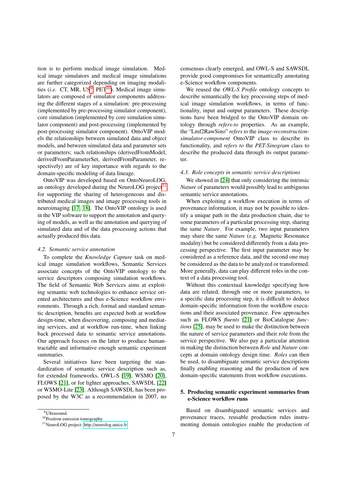tion is to perform medical image simulation. Medical image simulators and medical image simulations are further categorized depending on imaging modalities (*i.e.* CT, MR,  $US^9$  $US^9$ ,  $PET^{10}$  $PET^{10}$  $PET^{10}$ ). Medical image simulators are composed of simulator components addressing the different stages of a simulation: pre-processing (implemented by pre-processing simulator component), core simulation (implemented by core simulation simulator component) and post-processing (implemented by post-processing simulator component). OntoVIP models the relationships between simulated data and object models, and between simulated data and parameter sets or parameters; such relationships (derivedFromModel, derivedFromParameterSet, derivedFromParameter, respectively) are of key importance with regards to the domain-specific modeling of data lineage.

OntoVIP was developed based on OntoNeuroLOG, an ontology developed during the NeuroLOG project $11$ for supporting the sharing of heterogeneous and distributed medical images and image processing tools in neuroimaging [\[17,](#page-17-3) [18\]](#page-17-4). The OntoVIP ontology is used in the VIP software to support the annotation and querying of models, as well as the annotation and querying of simulated data and of the data processing actions that actually produced this data.

#### <span id="page-7-1"></span>*4.2. Semantic service annotation*

To complete the *Knowledge Capture* task on medical image simulation workflows, Semantic Services associate concepts of the OntoVIP ontology to the service descriptors composing simulation workflows. The field of Semantic Web Services aims at exploiting semantic web technologies to enhance service oriented architectures and thus e-Science workflow environments. Through a rich, formal and standard semantic description, benefits are expected both at workflow design-time, when discovering, composing and mediating services, and at workflow run-time, when linking back processed data to semantic service annotations. Our approach focuses on the latter to produce humantractable and informative enough semantic experiment summaries.

Several initiatives have been targeting the standardization of semantic service description such as, for extended frameworks, OWL-S [\[19\]](#page-17-1), WSMO [\[20\]](#page-17-5), FLOWS [\[21\]](#page-17-6), or for lighter approaches, SAWSDL [\[22\]](#page-17-7) or WSMO-Lite [\[23\]](#page-17-8). Although SAWSDL has been proposed by the W3C as a recommendation in 2007, no consensus clearly emerged, and OWL-S and SAWSDL provide good compromises for semantically annotating e-Science workflow components.

We reused the *OWL-S Profile* ontology concepts to describe semantically the key processing steps of medical image simulation workflows, in terms of functionality, input and output parameters. These descriptions have been bridged to the OntoVIP domain ontology through *refers-to* properties. As an example, the "Lmf2RawSino" *refers to* the *image-reconstructionsimulator-component* OntoVIP class to describe its functionality, and *refers to* the *PET-Sinogram* class to describe the produced data through its output parameter.

#### <span id="page-7-2"></span>*4.3. Role concepts in semantic service descriptions*

We showed in [\[24\]](#page-17-9) that only considering the intrinsic *Nature* of parameters would possibly lead to ambiguous semantic service annotations.

When exploiting a workflow execution in terms of provenance information, it may not be possible to identify a unique path in the data production chain, due to some parameters of a particular processing step, sharing the same *Nature*. For example, two input parameters may share the same *Nature* (*e.g.* Magnetic Resonance modality) but be considered differently from a data processing perspective. The first input parameter may be considered as a reference data, and the second one may be considered as the data to be analyzed or transformed. More generally, data can play different roles in the context of a data processing tool.

Without this contextual knowledge specifying how data are related, through one or more parameters, to a specific data processing step, it is difficult to deduce domain-specific information from the workflow executions and their associated provenance. Few approaches such as FLOWS *fluents* [\[21\]](#page-17-6) or BioCatalogue *functions* [\[25\]](#page-17-10), may be used to make the distinction between the nature of service parameters and their role from the service perspective. We also pay a particular attention in making the distinction between *Role* and *Nature* concepts at domain ontology design time. *Roles* can then be used, to disambiguate semantic service descriptions finally enabling reasoning and the production of new domain-specific statements from workflow executions.

# <span id="page-7-0"></span>5. Producing semantic experiment summaries from e-Science workflow runs

Based on disambiguated semantic services and provenance traces, reusable production rules instrumenting domain ontologies enable the production of

<span id="page-7-3"></span><sup>&</sup>lt;sup>9</sup>Ultrasound.

<span id="page-7-4"></span><sup>10</sup>Positron emission tomography.

<span id="page-7-5"></span><sup>11</sup>NeuroLOG project: http://[neurolog.unice.fr](http://neurolog.unice.fr)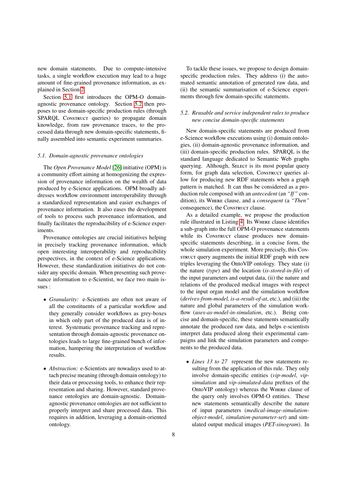new domain statements. Due to compute-intensive tasks, a single workflow execution may lead to a huge amount of fine-grained provenance information, as explained in Section [2.](#page-2-1)

Section [5.1](#page-8-0) first introduces the OPM-O domainagnostic provenance ontology. Section [5.2](#page-8-1) then proposes to use domain-specific production rules (through SPARQL Construct queries) to propagate domain knowledge, from raw provenance traces, to the processed data through new domain-specific statements, finally assembled into semantic experiment summaries.

#### <span id="page-8-0"></span>*5.1. Domain-agnostic provenance ontologies*

The *Open Provenance Model* [\[26\]](#page-17-0) initiative (OPM) is a community effort aiming at homogenizing the expression of provenance information on the wealth of data produced by e-Science applications. OPM broadly addresses workflow environment interoperability through a standardized representation and easier exchanges of provenance information. It also eases the development of tools to process such provenance information, and finally facilitates the reproducibility of e-Science experiments.

Provenance ontologies are crucial initiatives helping in precisely tracking provenance information, which open interesting interoperability and reproducibility perspectives, in the context of e-Science applications. However, these standardization initiatives do not consider any specific domain. When presenting such provenance information to e-Scientist, we face two main issues :

- *Granularity:* e-Scientists are often not aware of all the constituents of a particular workflow and they generally consider workflows as grey-boxes in which only part of the produced data is of interest. Systematic provenance tracking and representation through domain-agnostic provenance ontologies leads to large fine-grained bunch of information, hampering the interpretation of workflow results.
- *Abstraction:* e-Scientists are nowadays used to attach precise meaning (through domain ontology) to their data or processing tools, to enhance their representation and sharing. However, standard provenance ontologies are domain-agnostic. Domainagnostic provenance ontologies are not sufficient to properly interpret and share processed data. This requires in addition, leveraging a domain-oriented ontology.

To tackle these issues, we propose to design domainspecific production rules. They address (i) the automated semantic annotation of generated raw data, and (ii) the semantic summarisation of e-Science experiments through few domain-specific statements.

# <span id="page-8-1"></span>*5.2. Reusable and service independent rules to produce new concise domain-specific statements*

New domain-specific statements are produced from e-Science workflow executions using (i) domain ontologies, (ii) domain-agnostic provenance information, and (iii) domain-specific production rules. SPARQL is the standard language dedicated to Semantic Web graphs querying. Although, SELECT is its most popular query form, for graph data selection, Construct queries allow for producing new RDF statements when a graph pattern is matched. It can thus be considered as a production rule composed with an *antecedent* (an *"If"* condition), its Where clause, and a *consequent* (a *"Then"* consequence), the Construct clause.

As a detailed example, we propose the production rule illustrated in Listing [4.](#page-9-0) Its Where clause identifies a sub-graph into the full OPM-O provenance statements while its Construct clause produces new domainspecific statements describing, in a concise form, the whole simulation experiment. More precisely, this Construct query augments the initial RDF graph with new triples leveraging the OntoVIP ontology. They state (i) the nature (*type*) and the location (*is-stored-in-file*) of the input parameters and output data, (ii) the nature and relations of the produced medical images with respect to the input organ model and the simulation workflow (*derives-from-model, is-a-result-of-at*, etc.), and (iii) the nature and global parameters of the simulation workflow (*uses-as-model-in-simulation*, etc.). Being concise and domain-specific, these statements semantically annotate the produced raw data, and helps e-scientists interpret data produced along their experimental campaigns and link the simulation parameters and components to the produced data.

• *Lines 13 to 27* represent the new statements resulting from the application of this rule. They only involve domain-specific entities (*vip-model*, *vipsimulation* and *vip-simulated-data* prefixes of the OntoVIP ontology) whereas the Where clause of the query only involves OPM-O entities. These new statements semantically describe the nature of input parameters (*medical-image-simulationobject-model*, *simulation-parameter-set*) and simulated output medical images (*PET-sinogram*). In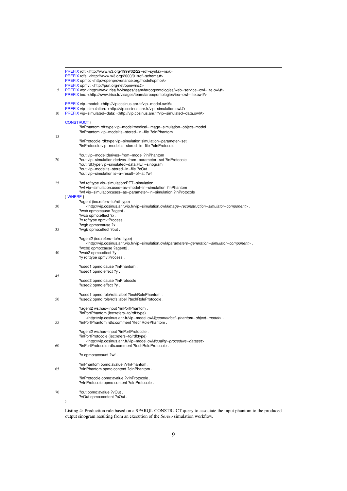<span id="page-9-0"></span>

| 5  | PREFIX rdf: <http: 02="" 1999="" 22-rdf-syntax-ns#="" www.w3.org=""><br/>PREFIX rdfs: <http: 01="" 2000="" rdf-schema#="" www.w3.org=""><br/>PREFIX opmo: <http: model="" openprovenance.org="" opmo#=""><br/>PREFIX opmv: <http: net="" ns#="" opmv="" purl.org=""><br/>PREFIX ws: <http: farooq="" ontologies="" team="" visages="" web-service-owl-lite.owl#="" www.irisa.fr=""><br/>PREFIX iec: <http: farooq="" iec-owl-lite.owl#="" ontologies="" team="" visages="" www.irisa.fr=""></http:></http:></http:></http:></http:></http:> |
|----|---------------------------------------------------------------------------------------------------------------------------------------------------------------------------------------------------------------------------------------------------------------------------------------------------------------------------------------------------------------------------------------------------------------------------------------------------------------------------------------------------------------------------------------------|
| 10 | PREFIX vip-model: <http: vip-model.owl#="" vip.cosinus.anr.fr=""><br/>PREFIX vip-simulation: <http: vip-simulation.owl#="" vip.cosinus.anr.fr=""><br/>PREFIX vip-simulated-data: <http: vip-simulated-data.owl#="" vip.cosinus.anr.fr=""></http:></http:></http:>                                                                                                                                                                                                                                                                           |
| 15 | <b>CONSTRUCT {</b><br>?inPhantom rdf:type vip-model:medical-image-simulation-object-model<br>?inPhantom vip-model:is-stored-in-file ?clnPhantom<br>?inProtocole rdf:type vip-simulation:simulation-parameter-set<br>?inProtocole vip-model:is-stored-in-file ?cInProtocole                                                                                                                                                                                                                                                                  |
| 20 | ?out vip-model:derives-from-model ?inPhantom<br>?out vip-simulation:derives-from-parameter-set ?inProtocole<br>?out rdf:type vip-simulated-data:PET-sinogram<br>?out vip-model:is-stored-in-file ?cOut<br>?out vip-simulation:is-a-result-of-at ?wf                                                                                                                                                                                                                                                                                         |
| 25 | ?wf rdf:type vip-simulation:PET-simulation<br>?wf vip-simulation:uses-as-model-in-simulation ?inPhantom<br>?wf vip-simulation:uses-as-parameter-in-simulation ?inProtocole                                                                                                                                                                                                                                                                                                                                                                  |
| 30 | WHERE {<br>?agent (iec:refers-to/rdf:type)<br><http: vip-simulation.owl#image-reconstruction-simulator-component="" vip.cosinus.anr.vip.fr="">.<br/>?wcb opmo:cause ?agent.<br/>?wcb opmo:effect ?x.<br/>?x rdf:type opmv:Process.</http:>                                                                                                                                                                                                                                                                                                  |
| 35 | ?wgb opmo:cause ?x.<br>?wgb opmo:effect ?out.                                                                                                                                                                                                                                                                                                                                                                                                                                                                                               |
| 40 | ?agent2 (iec:refers-to/rdf:type)<br>. http://vip.cosinus.anr.vip.fr/vip-simulation.owl#parameters-generation-simulator-component><br>?wcb2 opmo:cause ?agent2.<br>?wcb2 opmo:effect ?y.<br>?y rdf:type opmv:Process.                                                                                                                                                                                                                                                                                                                        |
| 45 | ?used1 opmo:cause ?inPhantom.<br>?used1 opmo:effect ?y.<br>?used2 opmo:cause ?inProtocole.                                                                                                                                                                                                                                                                                                                                                                                                                                                  |
| 50 | ?used2 opmo:effect ?y.<br>?used1 opmo:role/rdfs:label ?techRolePhantom.<br>?used2 opmo:role/rdfs:label ?techRoleProtocole.                                                                                                                                                                                                                                                                                                                                                                                                                  |
| 55 | ?agent2 ws:has-input ?inPortPhantom.<br>?inPortPhantom (iec:refers-to/rdf:type)<br><http: vip-model.owl#geometrical-phantom-object-model="" vip.cosinus.anr.fr="">.<br/>?inPortPhantom rdfs:comment ?techRolePhantom.</http:>                                                                                                                                                                                                                                                                                                               |
| 60 | ?agent2 ws:has-input ?inPortProtocole.<br>?inPortProtocole (iec:refers-to/rdf:type)<br><http: vip-model.owl#quality-procedure-dataset="" vip.cosinus.anr.fr="">.<br/>?inPortProtocole rdfs:comment ?techRoleProtocole.</http:>                                                                                                                                                                                                                                                                                                              |
|    | ?x opmo:account ?wf.                                                                                                                                                                                                                                                                                                                                                                                                                                                                                                                        |
| 65 | ?inPhantom opmo:avalue ?vInPhantom .<br>?vinPhantom opmo:content ?cinPhantom.                                                                                                                                                                                                                                                                                                                                                                                                                                                               |
|    | ?inProtocole opmo:avalue ?vInProtocole.<br>?vInProtocole opmo:content ?cInProtocole .                                                                                                                                                                                                                                                                                                                                                                                                                                                       |
| 70 | ?out opmo:avalue ?vOut .<br>?vOut opmo:content ?cOut.<br>ł                                                                                                                                                                                                                                                                                                                                                                                                                                                                                  |

Listing 4: Production rule based on a SPARQL CONSTRUCT query to associate the input phantom to the produced output sinogram resulting from an execution of the *Sorteo* simulation workflow.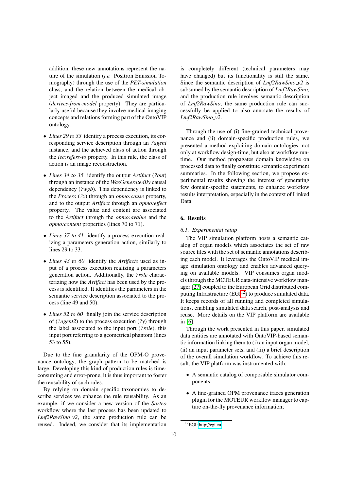addition, these new annotations represent the nature of the simulation (*i.e.* Positron Emission Tomography) through the use of the *PET-simulation* class, and the relation between the medical object imaged and the produced simulated image (*derives-from-model* property). They are particularly useful because they involve medical imaging concepts and relations forming part of the OntoVIP ontology.

- *Lines 29 to 33* identify a process execution, its corresponding service description through an *?agent* instance, and the achieved class of action through the *iec:refers-to* property. In this rule, the class of action is an image reconstruction.
- *Lines 34 to 35* identify the output *Artifact* (*?out*) through an instance of the *WasGeneratedBy* causal dependency (*?wgb*). This dependency is linked to the *Process* (*?x*) through an *opmo:cause* property, and to the output *Artifact* through an *opmo:e*ff*ect* property. The value and content are associated to the *Artifact* through the *opmo:avalue* and the *opmo:content* properties (lines 70 to 71).
- *Lines 37 to 41* identify a process execution realizing a parameters generation action, similarly to lines 29 to 33.
- *Lines 43 to 60* identify the *Artifacts* used as input of a process execution realizing a parameters generation action. Additionally, the *?role* characterizing how the *Artifact* has been used by the process is identified. It identifies the parameters in the semantic service description associated to the process (line 49 and 50).
- *Lines 52 to 60* finally join the service description of (*?agent2*) to the process execution (*?y*) through the label associated to the input port (*?role*), this input port referring to a geometrical phantom (lines 53 to 55).

Due to the fine granularity of the OPM-O provenance ontology, the graph pattern to be matched is large. Developing this kind of production rules is timeconsuming and error-prone, it is thus important to foster the reusability of such rules.

By relying on domain specific taxonomies to describe services we enhance the rule reusability. As an example, if we consider a new version of the *Sorteo* workflow where the last process has been updated to *Lmf2RawSino\_v2*, the same production rule can be reused. Indeed, we consider that its implementation

is completely different (technical parameters may have changed) but its functionality is still the same. Since the semantic description of *Lmf2RawSino v2* is subsumed by the semantic description of *Lmf2RawSino*, and the production rule involves semantic description of *Lmf2RawSino*, the same production rule can successfully be applied to also annotate the results of *Lmf2RawSino v2*.

Through the use of (i) fine-grained technical provenance and (ii) domain-specific production rules, we presented a method exploiting domain ontologies, not only at workflow design-time, but also at workflow runtime. Our method propagates domain knowledge on processed data to finally constitute semantic experiment summaries. In the following section, we propose experimental results showing the interest of generating few domain-specific statements, to enhance workflow results interpretation, especially in the context of Linked Data.

# <span id="page-10-0"></span>6. Results

#### *6.1. Experimental setup*

The VIP simulation platform hosts a semantic catalog of organ models which associates the set of raw source files with the set of semantic annotations describing each model. It leverages the OntoVIP medical image simulation ontology and enables advanced querying on available models. VIP consumes organ models through the MOTEUR data-intensive workflow manager [\[27\]](#page-17-11) coupled to the European Grid distributed computing Infrastructure  $(EGI<sup>12</sup>)$  $(EGI<sup>12</sup>)$  $(EGI<sup>12</sup>)$  to produce simulated data. It keeps records of all running and completed simulations, enabling simulated data search, post-analysis and reuse. More details on the VIP platform are available in [\[6\]](#page-16-5).

Through the work presented in this paper, simulated data entities are annotated with OntoVIP-based semantic information linking them to (i) an input organ model, (ii) an input parameter sets, and (iii) a brief description of the overall simulation workflow. To achieve this result, the VIP platform was instrumented with:

- A semantic catalog of composable simulator components;
- A fine-grained OPM provenance traces generation plugin for the MOTEUR workflow manager to capture on-the-fly provenance information;

<span id="page-10-1"></span><sup>12</sup>EGI: http://[egi.eu](http://egi.eu)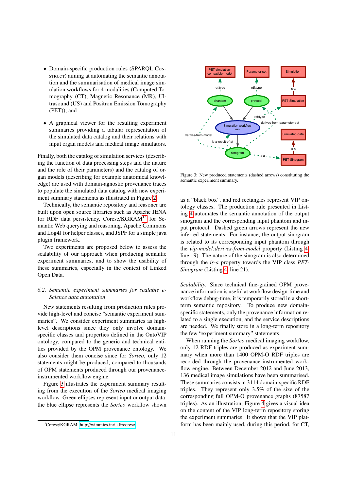- Domain-specific production rules (SPAROL Construct) aiming at automating the semantic annotation and the summarisation of medical image simulation workflows for 4 modalities (Computed Tomography (CT), Magnetic Resonance (MR), Ultrasound (US) and Positron Emission Tomography (PET)); and
- A graphical viewer for the resulting experiment summaries providing a tabular representation of the simulated data catalog and their relations with input organ models and medical image simulators.

Finally, both the catalog of simulation services (describing the function of data processing steps and the nature and the role of their parameters) and the catalog of organ models (describing for example anatomical knowledge) are used with domain-agnostic provenance traces to populate the simulated data catalog with new experiment summary statements as illustrated in Figure [2.](#page-5-2)

Technically, the semantic repository and reasoner are built upon open source libraries such as Apache JENA for RDF data persistency, Corese/KGRAM<sup>[13](#page-11-0)</sup> for Semantic Web querying and reasoning, Apache Commons and Log4J for helper classes, and JSPF for a simple java plugin framework.

Two experiments are proposed below to assess the scalability of our approach when producing semantic experiment summaries, and to show the usability of these summaries, especially in the context of Linked Open Data.

# *6.2. Semantic experiment summaries for scalable e-Science data annotation*

New statements resulting from production rules provide high-level and concise "semantic experiment summaries". We consider experiment summaries as highlevel descriptions since they only involve domainspecific classes and properties defined in the OntoVIP ontology, compared to the generic and technical entities provided by the OPM provenance ontology. We also consider them concise since for *Sorteo*, only 12 statements might be produced, compared to thousands of OPM statements produced through our provenanceinstrumented workflow engine.

Figure [3](#page-11-1) illustrates the experiment summary resulting from the execution of the *Sorteo* medical imaging workflow. Green ellipses represent input or output data, the blue ellipse represents the *Sorteo* workflow shown

<span id="page-11-1"></span>

Figure 3: New produced statements (dashed arrows) constituting the semantic experiment summary.

as a "black box", and red rectangles represent VIP ontology classes. The production rule presented in Listing [4](#page-9-0) automates the semantic annotation of the output sinogram and the corresponding input phantom and input protocol. Dashed green arrows represent the new inferred statements. For instance, the output sinogram is related to its corresponding input phantom through the *vip-model:derives-from-model* property (Listing [4,](#page-9-0) line 19). The nature of the sinogram is also determined through the *is-a* property towards the VIP class *PET-Sinogram* (Listing [4,](#page-9-0) line 21).

*Scalability.* Since technical fine-grained OPM provenance information is useful at workflow design-time and workflow debug-time, it is temporarily stored in a shortterm semantic repository. To produce new domainspecific statements, only the provenance information related to a single execution, and the service descriptions are needed. We finally store in a long-term repository the few "experiment summary" statements.

When running the *Sorteo* medical imaging workflow, only 12 RDF triples are produced as experiment summary when more than 1400 OPM-O RDF triples are recorded through the provenance-instrumented workflow engine. Between December 2012 and June 2013, 136 medical image simulations have been summarised. These summaries consists in 3114 domain-specific RDF triples. They represent only 3.5% of the size of the corresponding full OPM-O provenance graphs (87587 triples). As an illustration, Figure [4](#page-12-0) gives a visual idea on the content of the VIP long-term repository storing the experiment summaries. It shows that the VIP platform has been mainly used, during this period, for CT,

<span id="page-11-0"></span><sup>13</sup>Corese/KGRAM: http://[wimmics.inria.fr](http://wimmics.inria.fr/corese)/corese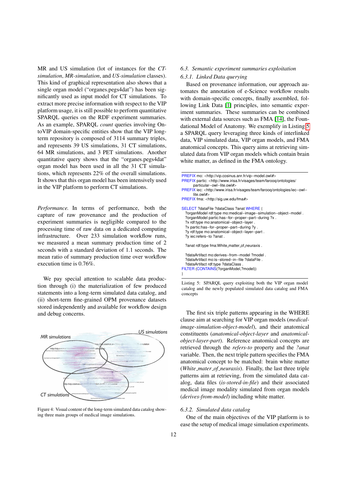MR and US simulation (lot of instances for the *CTsimulation*, *MR-simulation*, and *US-simulation* classes). This kind of graphical representation also shows that a single organ model ("organes.pegs4dat") has been significantly used as input model for CT simulations. To extract more precise information with respect to the VIP platform usage, it is still possible to perform quantitative SPARQL queries on the RDF experiment summaries. As an example, SPARQL *count* queries involving OntoVIP domain-specific entities show that the VIP longterm repository is composed of 3114 summary triples, and represents 39 US simulations, 31 CT simulations, 64 MR simulations, and 3 PET simulations. Another quantitative query shows that the "organes.pegs4dat" organ model has been used in all the 31 CT simulations, which represents 22% of the overall simulations. It shows that this organ model has been intensively used in the VIP platform to perform CT simulations.

*Performance.* In terms of performance, both the capture of raw provenance and the production of experiment summaries is negligible compared to the processing time of raw data on a dedicated computing infrastructure. Over 233 simulation workflow runs, we measured a mean summary production time of 2 seconds with a standard deviation of 1.1 seconds. The mean ratio of summary production time over workflow execution time is 0.76%.

We pay special attention to scalable data production through (i) the materialization of few produced statements into a long-term simulated data catalog, and (ii) short-term fine-grained OPM provenance datasets stored independently and available for workflow design and debug concerns.

<span id="page-12-0"></span>

Figure 4: Visual content of the long-term simulated data catalog showing three main groups of medical image simulations.

## *6.3. Semantic experiment summaries exploitation*

# *6.3.1. Linked Data querying*

Based on provenance information, our approach automates the annotation of e-Science workflow results with domain-specific concepts, finally assembled, following Link Data [\[1\]](#page-16-0) principles, into semantic experiment summaries. These summaries can be combined with external data sources such as FMA [\[14\]](#page-16-13), the Foundational Model of Anatomy. We exemplify in Listing [5](#page-12-1) a SPARQL query leveraging three kinds of interlinked data, VIP simulated data, VIP organ models, and FMA anatomical concepts. This query aims at retrieving simulated data from VIP organ models which contain brain white matter, as defined in the FMA ontology.

Listing 5: SPARQL query exploiting both the VIP organ model catalog and the newly populated simulated data catalog and FMA concepts

The first six triple patterns appearing in the WHERE clause aim at searching for VIP organ models (*medicalimage-simulation-object-model*), and their anatomical constituents (*anatomical-object-layer* and *anatomicalobject-layer-part*). Reference anatomical concepts are retrieved through the *refers-to* property and the *?anat* variable. Then, the next triple pattern specifies the FMA anatomical concept to be matched: brain white matter (*White mater of neuraxis*). Finally, the last three triple patterns aim at retrieving, from the simulated data catalog, data files (*is-stored-in-file*) and their associated medical image modality simulated from organ models (*derives-from-model*) including white matter.

#### *6.3.2. Simulated data catalog*

One of the main objectives of the VIP platform is to ease the setup of medical image simulation experiments.

<span id="page-12-1"></span>PREFIX mo: <http://vip.cosinus.anr.fr/vip−model.owl#> PREFIX partic: <http://www.irisa.fr/visages/team/faroog/ontologies/ particular−owl−lite.owl#> PREFIX iec: <http://www.irisa.fr/visages/team/farooq/ontologies/iec−owl− lite.owl#> PREFIX fma: <http://sig.uw.edu/fma#> SELECT ?dataFile ?dataClass ?anat WHERE { ?organModel rdf:type mo:medical−image−simulation−object−model . ?organModel partic:has−for−proper−part−during ?x . ?x rdf:type mo:anatomical−object−layer . ?x partic:has−for−proper−part−during ?y . ?y rdf:type mo:anatomical−object−layer−part . ?y iec:refers−to ?anat . ?anat rdf:type fma:White\_matter\_of\_neuraxis . ?dataArtifact mo:derives−from−model ?model . ?dataArtifact mo:is−stored−in−file ?dataFile . ?dataArtifact rdf:type ?dataClass . FILTER (CONTAINS(?organModel,?model)) }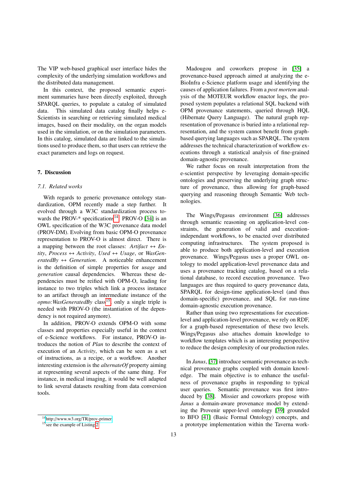The VIP web-based graphical user interface hides the complexity of the underlying simulation workflows and the distributed data management.

In this context, the proposed semantic experiment summaries have been directly exploited, through SPARQL queries, to populate a catalog of simulated data. This simulated data catalog finally helps e-Scientists in searching or retrieving simulated medical images, based on their modality, on the organ models used in the simulation, or on the simulation parameters. In this catalog, simulated data are linked to the simulations used to produce them, so that users can retrieve the exact parameters and logs on request.

# <span id="page-13-0"></span>7. Discussion

#### *7.1. Related works*

With regards to generic provenance ontology standardization, OPM recently made a step further. It evolved through a W3C standardization process towards the PROV- $*$  specifications<sup>[14](#page-13-1)</sup>. PROV-O [\[34\]](#page-17-12) is an OWL specification of the W3C provenance data model (PROV-DM). Evolving from basic OPM-O provenance representation to PROV-O is almost direct. There is a mapping between the root classes:  $Artifact \leftrightarrow En$  $tity, Process \leftrightarrow Activity, Used \leftrightarrow Usage, or WasGen$  $eratedBv \leftrightarrow Generation$ . A noticeable enhancement is the definition of simple properties for *usage* and *generation* causal dependencies. Whereas these dependencies must be reified with OPM-O, leading for instance to two triples which link a process instance to an artifact through an intermediate instance of the *opmo:WasGeneratedBy* class<sup>[15](#page-13-2)</sup>, only a single triple is needed with PROV-O (the instantiation of the dependency is not required anymore).

In addition, PROV-O extends OPM-O with some classes and properties especially useful in the context of e-Science workflows. For instance, PROV-O introduces the notion of *Plan* to describe the context of execution of an *Activity*, which can be seen as a set of instructions, as a recipe, or a workflow. Another interesting extension is the *alternateOf* property aiming at representing several aspects of the same thing. For instance, in medical imaging, it would be well adapted to link several datasets resulting from data conversion tools.

Madougou and coworkers propose in [\[35\]](#page-17-13) a provenance-based approach aimed at analyzing the e-BioInfra e-Science platform usage and identifying the causes of application failures. From a *post mortem* analysis of the MOTEUR workflow enactor logs, the proposed system populates a relational SQL backend with OPM provenance statements, queried through HQL (Hibernate Query Language). The natural graph representation of provenance is buried into a relational representation, and the system cannot benefit from graphbased querying languages such as SPARQL. The system addresses the technical characterization of workflow executions through a statistical analysis of fine-grained domain-agnostic provenance.

We rather focus on result interpretation from the e-scientist perspective by leveraging domain-specific ontologies and preserving the underlying graph structure of provenance, thus allowing for graph-based querying and reasoning through Semantic Web technologies.

The Wings/Pegasus environment [\[36\]](#page-17-14) addresses through semantic reasoning on application-level constraints, the generation of valid and executionindependant workflows, to be enacted over distributed computing infrastructures. The system proposed is able to produce both application-level and execution provenance. Wings/Pegasus uses a proper OWL ontology to model application-level provenance data and uses a provenance tracking catalog, based on a relational database, to record execution provenance. Two languages are thus required to query provenance data, SPARQL for design-time application-level (and thus domain-specific) provenance, and SQL for run-time domain-agnostic execution provenance.

Rather than using two representations for executionlevel and application-level provenance, we rely on RDF, for a graph-based representation of these two levels. Wings/Pegasus also attaches domain knowledge to workflow templates which is an interesting perspective to reduce the design complexity of our production rules.

In *Janus*, [\[37\]](#page-17-15) introduce semantic provenance as technical provenance graphs coupled with domain knowledge. The main objective is to enhance the usefulness of provenance graphs in responding to typical user queries. Semantic provenance was first introduced by [\[38\]](#page-17-16). Missier and coworkers propose with *Janus* a domain-aware provenance model by extending the Provenir upper-level ontology [\[39\]](#page-17-17) grounded to BFO [\[41\]](#page-17-18) (Basic Formal Ontology) concepts, and a prototype implementation within the Taverna work-

<span id="page-13-1"></span><sup>14</sup>http://[www.w3.org](http://www.w3.org/TR/prov-primer)/TR/prov-primer

<span id="page-13-2"></span><sup>&</sup>lt;sup>15</sup> see the example of Listing [2](#page-4-1)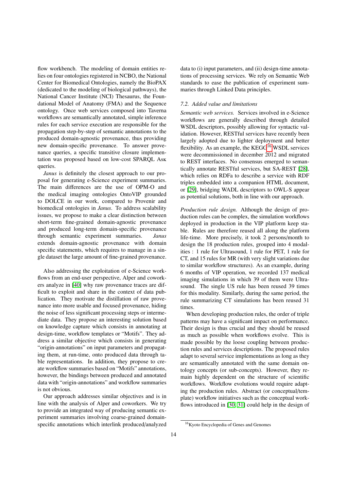flow workbench. The modeling of domain entities relies on four ontologies registered in NCBO, the National Center for Biomedical Ontologies, namely the BioPAX (dedicated to the modeling of biological pathways), the National Cancer Institute (NCI) Thesaurus, the Foundational Model of Anatomy (FMA) and the Sequence ontology. Once web services composed into Taverna workflows are semantically annotated, simple inference rules for each service execution are responsible for the propagation step-by-step of semantic annotations to the produced domain-agnostic provenance, thus providing new domain-specific provenance. To answer provenance queries, a specific transitive closure implementation was proposed based on low-cost SPARQL Ask queries.

*Janus* is definitely the closest approach to our proposal for generating e-Science experiment summaries. The main differences are the use of OPM-O and the medical imaging ontologies OntoVIP grounded to DOLCE in our work, compared to Provenir and biomedical ontologies in *Janus*. To address scalability issues, we propose to make a clear distinction between short-term fine-grained domain-agnostic provenance and produced long-term domain-specific provenance through semantic experiment summaries. *Janus* extends domain-agnostic provenance with domain specific statements, which requires to manage in a single dataset the large amount of fine-grained provenance.

Also addressing the exploitation of e-Science workflows from an end-user perspective, Alper and coworkers analyze in [\[40\]](#page-17-19) why raw provenance traces are difficult to exploit and share in the context of data publication. They motivate the distillation of raw provenance into more usable and focused provenance, hiding the noise of less significant processing steps or intermediate data. They propose an interesting solution based on knowledge capture which consists in annotating at design-time, workflow templates or "Motifs". They address a similar objective which consists in generating "origin-annotations" on input parameters and propagating them, at run-time, onto produced data through table representations. In addition, they propose to create workflow summaries based on "Motifs" annotations, however, the bindings between produced and annotated data with "origin-annotations" and workflow summaries is not obvious.

Our approach addresses similar objectives and is in line with the analysis of Alper and coworkers. We try to provide an integrated way of producing semantic experiment summaries involving coarse-grained domainspecific annotations which interlink produced/analyzed data to (i) input parameters, and (ii) design-time annotations of processing services. We rely on Semantic Web standards to ease the publication of experiment summaries through Linked Data principles.

#### *7.2. Added value and limitations*

*Semantic web services.* Services involved in e-Science workflows are generally described through detailed WSDL descriptors, possibly allowing for syntactic validation. However, RESTful services have recently been largely adopted due to lighter deployment and better flexibility. As an example, the  $KEGG^{16}$  $KEGG^{16}$  $KEGG^{16}$  WSDL services were decommissioned in december 2012 and migrated to REST interfaces. No consensus emerged to semantically annotate RESTful services, but SA-REST [\[28\]](#page-17-20), which relies on RDFa to describe a service with RDF triples embedded into a companion HTML document, or [\[29\]](#page-17-21), bridging WADL descriptors to OWL-S appear as potential solutions, both in line with our approach.

*Production rule design.* Although the design of production rules can be complex, the simulation workflows deployed in production in the VIP platform keep stable. Rules are therefore reused all along the platform life-time. More precisely, it took 2 persons/month to design the 18 production rules, grouped into 4 modalities : 1 rule for Ultrasound, 1 rule for PET, 1 rule for CT, and 15 rules for MR (with very slight variations due to similar workflow structures). As an example, during 6 months of VIP operation, we recorded 137 medical imaging simulations in which 39 of them were Ultrasound. The single US rule has been reused 39 times for this modality. Similarly, during the same period, the rule summarizing CT simulations has been reused 31 times.

When developing production rules, the order of triple patterns may have a significant impact on performance. Their design is thus crucial and they should be reused as much as possible when workflows evolve. This is made possible by the loose coupling between production rules and services descriptions. The proposed rules adapt to several service implementations as long as they are semantically annotated with the same domain ontology concepts (or sub-concepts). However, they remain highly dependent on the structure of scientific workflows. Workflow evolutions would require adapting the production rules. Abstract (or conceptual/template) workflow initiatives such as the conceptual workflows introduced in [\[30,](#page-17-22) [31\]](#page-17-23) could help in the design of

<span id="page-14-0"></span><sup>16</sup>Kyoto Encyclopedia of Genes and Genomes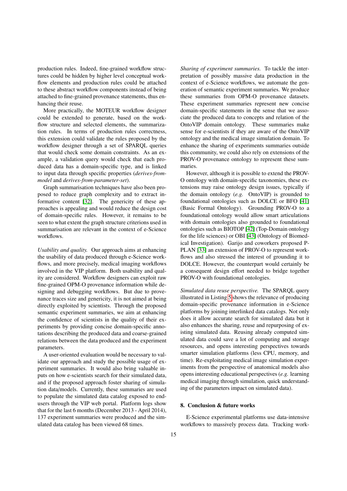production rules. Indeed, fine-grained workflow structures could be hidden by higher level conceptual workflow elements and production rules could be attached to these abstract workflow components instead of being attached to fine-grained provenance statements, thus enhancing their reuse.

More practically, the MOTEUR workflow designer could be extended to generate, based on the workflow structure and selected elements, the summarization rules. In terms of production rules correctness, this extension could validate the rules proposed by the workflow designer through a set of SPARQL queries that would check some domain constraints. As an example, a validation query would check that each produced data has a domain-specific type, and is linked to input data through specific properties (*derives-frommodel* and *derives-from-parameter-set*).

Graph summarisation techniques have also been proposed to reduce graph complexity and to extract informative content [\[32\]](#page-17-24). The genericity of these approaches is appealing and would reduce the design cost of domain-specific rules. However, it remains to be seen to what extent the graph structure criterions used in summarisation are relevant in the context of e-Science workflows.

*Usability and quality.* Our approach aims at enhancing the usability of data produced through e-Science workflows, and more precisely, medical imaging workflows involved in the VIP platform. Both usability and quality are considered. Workflow designers can exploit raw fine-grained OPM-O provenance information while designing and debugging workflows. But due to provenance traces size and genericity, it is not aimed at being directly exploited by scientists. Through the proposed semantic experiment summaries, we aim at enhancing the confidence of scientists in the quality of their experiments by providing concise domain-specific annotations describing the produced data and coarse-grained relations between the data produced and the experiment parameters.

A user-oriented evaluation would be necessary to validate our approach and study the possible usage of experiment summaries. It would also bring valuable inputs on how e-scientists search for their simulated data, and if the proposed approach foster sharing of simulation data/models. Currently, these summaries are used to populate the simulated data catalog exposed to endusers through the VIP web portal. Platform logs show that for the last 6 months (December 2013 - April 2014), 137 experiment summaries were produced and the simulated data catalog has been viewed 68 times.

*Sharing of experiment summaries.* To tackle the interpretation of possibly massive data production in the context of e-Science workflows, we automate the generation of semantic experiment summaries. We produce these summaries from OPM-O provenance datasets. These experiment summaries represent new concise domain-specific statements in the sense that we associate the produced data to concepts and relation of the OntoVIP domain ontology. These summaries make sense for e-scientists if they are aware of the OntoVIP ontology and the medical image simulation domain. To enhance the sharing of experiments summaries outside this community, we could also rely on extensions of the PROV-O provenance ontology to represent these summaries.

However, although it is possible to extend the PROV-O ontology with domain-specific taxonomies, these extensions may raise ontology design issues, typically if the domain ontology (*e.g.* OntoVIP) is grounded to foundational ontologies such as DOLCE or BFO [\[41\]](#page-17-18) (Basic Formal Ontology). Grounding PROV-O to a foundational ontology would allow smart articulations with domain ontologies also grounded to foundational ontologies such as BIOTOP [\[42\]](#page-17-25) (Top-Domain ontology for the life sciences) or OBI [\[43\]](#page-17-26) (Ontology of Biomedical Investigation). Garijo and coworkers proposed P-PLAN [\[33\]](#page-17-27) an extension of PROV-O to represent workflows and also stressed the interest of grounding it to DOLCE. However, the counterpart would certainly be a consequent design effort needed to bridge together PROV-O with foundational ontologies.

*Simulated data reuse perspective.* The SPARQL query illustrated in Listing [5](#page-12-1) shows the relevance of producing domain-specific provenance information in e-Science platforms by joining interlinked data catalogs. Not only does it allow accurate search for simulated data but it also enhances the sharing, reuse and repurposing of existing simulated data. Reusing already computed simulated data could save a lot of computing and storage resources, and opens interesting perspectives towards smarter simulation platforms (less CPU, memory, and time). Re-exploitating medical image simulation experiments from the perspective of anatomical models also opens interesting educational perspectives (*e.g.* learning medical imaging through simulation, quick understanding of the parameters impact on simulated data).

## <span id="page-15-0"></span>8. Conclusion & future works

E-Science experimental platforms use data-intensive workflows to massively process data. Tracking work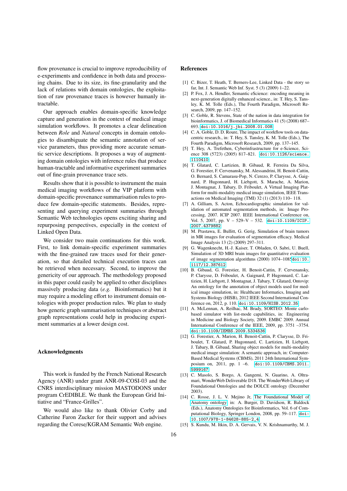flow provenance is crucial to improve reproducibility of e-experiments and confidence in both data and processing chains. Due to its size, its fine-granularity and the lack of relations with domain ontologies, the exploitation of raw provenance traces is however humanly intractable.

Our approach enables domain-specific knowledge capture and generation in the context of medical image simulation workflows. It promotes a clear delineation between *Role* and *Natural* concepts in domain ontologies to disambiguate the semantic annotation of service parameters, thus providing more accurate semantic service descriptions. It proposes a way of augmenting domain ontologies with inference rules that produce human-tractable and informative experiment summaries out of fine-grain provenance trace sets.

Results show that it is possible to instrument the main medical imaging workflows of the VIP platform with domain-specific provenance summarisation rules to produce few domain-specific statements. Besides, representing and querying experiment summaries through Semantic Web technologies opens exciting sharing and repurposing perspectives, especially in the context of Linked Open Data.

We consider two main continuations for this work. First, to link domain-specific experiment summaries with the fine-grained raw traces used for their generation, so that detailed technical execution traces can be retrieved when necessary. Second, to improve the genericity of our approach. The methodology proposed in this paper could easily be applied to other disciplines massively producing data (*e.g.* Bioinformatics) but it may require a modeling effort to instrument domain ontologies with proper production rules. We plan to study how generic graph summarisation techniques or abstract graph representations could help in producing experiment summaries at a lower design cost.

#### Acknowledgments

This work is funded by the French National Research Agency (ANR) under grant ANR-09-COSI-03 and the CNRS interdisciplinary mission MASTODONS under program CrEDIBLE. We thank the European Grid Initiative and "France-Grilles".

We would also like to thank Olivier Corby and Catherine Faron Zucker for their support and advises regarding the Corese/KGRAM Semantic Web engine.

#### References

- <span id="page-16-0"></span>[1] C. Bizer, T. Heath, T. Berners-Lee, Linked Data - the story so far, Int. J. Semantic Web Inf. Syst. 5 (3) (2009) 1–22.
- <span id="page-16-1"></span>[2] P. Fox, J. A. Hendler, Semantic eScience: encoding meaning in next-generation digitally enhanced science., in: T. Hey, S. Tansley, K. M. Tolle (Eds.), The Fourth Paradigm, Microsoft Research, 2009, pp. 147–152.
- <span id="page-16-2"></span>[3] C. Goble, R. Stevens, State of the nation in data integration for bioinformatics, J. of Biomedical Informatics 41 (5) (2008) 687– 693. [doi:10.1016/j.jbi.2008.01.008](http://dx.doi.org/10.1016/j.jbi.2008.01.008).
- <span id="page-16-3"></span>[4] C. A. Goble, D. D. Roure, The impact of workflow tools on datacentric research., in: T. Hey, S. Tansley, K. M. Tolle (Eds.), The Fourth Paradigm, Microsoft Research, 2009, pp. 137–145.
- <span id="page-16-4"></span>[5] T. Hey, A. Trefethen, Cyberinfrastructure for e-Science, Science 308 (5723) (2005) 817–821. [doi:10.1126/science.](http://dx.doi.org/10.1126/science.1110410) [1110410](http://dx.doi.org/10.1126/science.1110410).
- <span id="page-16-5"></span>[6] T. Glatard, C. Lartizien, B. Gibaud, R. Ferreira Da Silva, G. Forestier, F. Cervenansky, M. Alessandrini, H. Benoit-Cattin, O. Bernard, S. Camarasu-Pop, N. Cerezo, P. Clarysse, A. Gaignard, P. Hugonnard, H. Liebgott, S. Marache, A. Marion, J. Montagnat, J. Tabary, D. Friboulet, A Virtual Imaging Platform for multi-modality medical image simulation, IEEE Transactions on Medical Imaging (TMI) 32 (1) (2013) 110– 118.
- <span id="page-16-6"></span>[7] A. Gilliam, S. Acton, Echocardiographic simulation for validation of automated segmentation methods, in: Image Processing, 2007. ICIP 2007. IEEE International Conference on, Vol. 5, 2007, pp. V – 529–V – 532. [doi:10.1109/ICIP.](http://dx.doi.org/10.1109/ICIP.2007.4379882) [2007.4379882](http://dx.doi.org/10.1109/ICIP.2007.4379882).
- <span id="page-16-7"></span>[8] M. Prastawa, E. Bullitt, G. Gerig, Simulation of brain tumors in MR images for evaluation of segmentation efficacy. Medical Image Analysis 13 (2) (2009) 297–311.
- <span id="page-16-8"></span>[9] G. Wagenknecht, H.-J. Kaiser, T. Obladen, O. Sabri, U. Buell, Simulation of 3D MRI brain images for quantitative evaluation of image segmentation algorithms (2000) 1074–1085[doi:10.](http://dx.doi.org/10.1117/12.387612) [1117/12.387612](http://dx.doi.org/10.1117/12.387612).
- <span id="page-16-9"></span>[10] B. Gibaud, G. Forestier, H. Benoit-Cattin, F. Cervenansky, P. Clarysse, D. Friboulet, A. Gaignard, P. Hugonnard, C. Lartizien, H. Liebgott, J. Montagnat, J. Tabary, T. Glatard, Ontovip: An ontology for the annotation of object models used for medical image simulation, in: Healthcare Informatics, Imaging and Systems Biology (HISB), 2012 IEEE Second International Conference on, 2012, p. 110. [doi:10.1109/HISB.2012.35](http://dx.doi.org/10.1109/HISB.2012.35).
- <span id="page-16-11"></span>[11] A. McLennan, A. Reilhac, M. Brady, SORTEO: Monte carlobased simulator with list-mode capabilities, in: Engineering in Medicine and Biology Society, 2009. EMBC 2009. Annual International Conference of the IEEE, 2009, pp. 3751 –3754. [doi:10.1109/IEMBS.2009.5334536](http://dx.doi.org/10.1109/IEMBS.2009.5334536).
- <span id="page-16-10"></span>[12] G. Forestier, A. Marion, H. Benoit-Cattin, P. Clarysse, D. Friboulet, T. Glatard, P. Hugonnard, C. Lartizien, H. Liebgott, J. Tabary, B. Gibaud, Sharing object models for multi-modality medical image simulation: A semantic approach, in: Computer-Based Medical Systems (CBMS), 2011 24th International Symposium on, 2011, pp. 1 –6. [doi:10.1109/CBMS.2011.](http://dx.doi.org/10.1109/CBMS.2011.5999167) [5999167](http://dx.doi.org/10.1109/CBMS.2011.5999167).
- <span id="page-16-12"></span>[13] C. Masolo, S. Borgo, A. Gangemi, N. Guarino, A. Oltramari, WonderWeb Deliverable D18. The WonderWeb Library of Foundational Ontologies and the DOLCE ontology (December 2003).
- <span id="page-16-13"></span>[14] C. Rosse, J. L. V. Mejino Jr, [The Foundational Model of](http://dx.doi.org/10.1007/978-1-84628-885-2_4) [Anatomy ontology,](http://dx.doi.org/10.1007/978-1-84628-885-2_4) in: A. Burger, D. Davidson, R. Baldock (Eds.), Anatomy Ontologies for Bioinformatics, Vol. 6 of Computational Biology, Springer London, 2008, pp. 59–117. [doi:](http://dx.doi.org/10.1007/978-1-84628-885-2_4) [10.1007/978-1-84628-885-2\\_4](http://dx.doi.org/10.1007/978-1-84628-885-2_4).
- <span id="page-16-14"></span>[15] S. Kundu, M. Itkin, D. A. Gervais, V. N. Krishnamurthy, M. J.